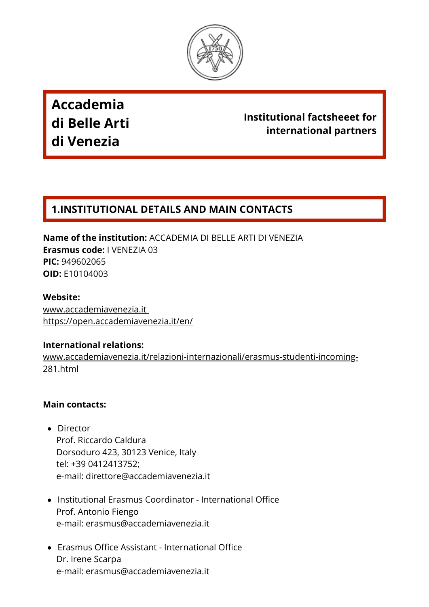

**Accademia di Belle Arti di Venezia**

# **Institutional factsheeet for international partners**

# **1.INSTITUTIONAL DETAILS AND MAIN CONTACTS**

**Name of the institution:** ACCADEMIA DI BELLE ARTI DI VENEZIA **Erasmus code:** I VENEZIA 03 **PIC:** 949602065 **OID:** E10104003

**Website:** [www.accademiavenezia.it](https://www.accademiavenezia.it/) <https://open.accademiavenezia.it/en/>

#### **International relations:**

[www.accademiavenezia.it/relazioni-internazionali/erasmus-studenti-incoming-](https://www.accademiavenezia.it/relazioni-internazionali/erasmus-studenti-incoming-281.html)281.html

#### **Main contacts:**

- Director Prof. Riccardo Caldura Dorsoduro 423, 30123 Venice, Italy tel: +39 0412413752; e-mail: [direttore@accademiavenezia.it](mailto:direttore@accademiavenezia.it)
- Institutional Erasmus Coordinator International Office Prof. Antonio Fiengo e-mail: [erasmus@accademiavenezia.it](mailto:erasmus@accademiavenezia.it)
- Erasmus Office Assistant International Office Dr. Irene Scarpa e-mail: [erasmus@accademiavenezia.it](mailto:erasmus@accademiavenezia.it)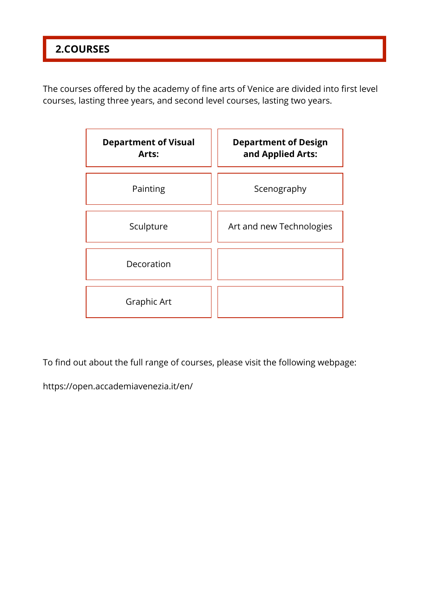# **2.COURSES**

The courses offered by the academy of fine arts of Venice are divided into first level courses, lasting three years, and second level courses, lasting two years.

| <b>Department of Visual</b><br>Arts: | <b>Department of Design</b><br>and Applied Arts: |  |  |
|--------------------------------------|--------------------------------------------------|--|--|
| Painting                             | Scenography                                      |  |  |
| Sculpture                            | Art and new Technologies                         |  |  |
| Decoration                           |                                                  |  |  |
| Graphic Art                          |                                                  |  |  |

To find out about the full range of courses, please visit the following webpage:

<https://open.accademiavenezia.it/en/>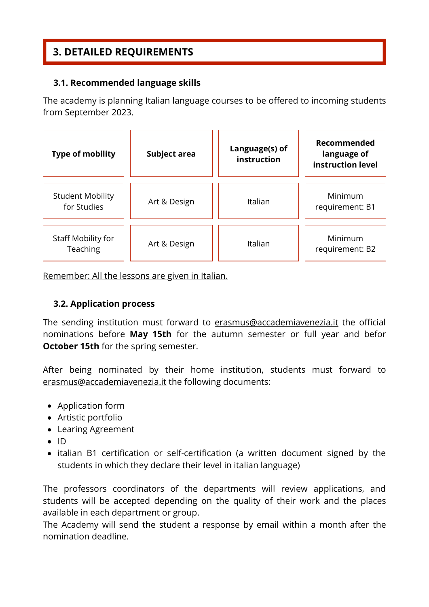# **3. DETAILED REQUIREMENTS**

### **3.1. Recommended language skills**

The academy is planning Italian language courses to be offered to incoming students from September 2023.



Remember: All the lessons are given in Italian.

# **3.2. Application process**

The sending institution must forward to erasmus@accademiavenezia.it the official nominations before **May 15th** for the autumn semester or full year and befor **October 15th** for the spring semester.

After being nominated by their home institution, students must forward to erasmus@accademiavenezia.it the following documents:

- Application form
- Artistic portfolio
- Learing Agreement
- $\bullet$  ID
- italian B1 certification or self-certification (a written document signed by the students in which they declare their level in italian language)

The professors coordinators of the departments will review applications, and students will be accepted depending on the quality of their work and the places available in each department or group.

The Academy will send the student a response by email within a month after the nomination deadline.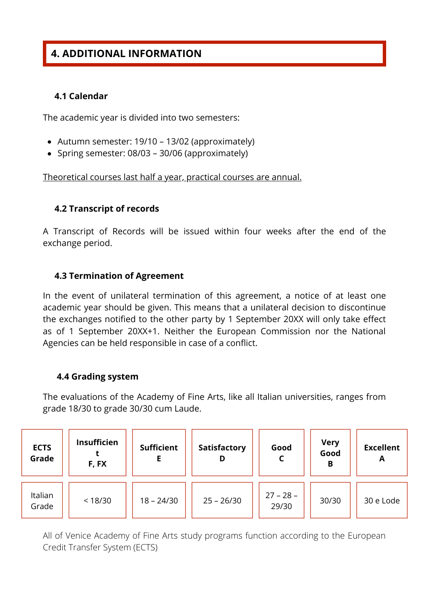# **4. ADDITIONAL INFORMATION**

#### **4.1 Calendar**

The academic year is divided into two semesters:

- Autumn semester: 19/10 13/02 (approximately)
- Spring semester: 08/03 30/06 (approximately)

Theoretical courses last half a year, practical courses are annual.

#### **4.2 Transcript of records**

A Transcript of Records will be issued within four weeks after the end of the exchange period.

#### **4.3 Termination of Agreement**

In the event of unilateral termination of this agreement, a notice of at least one academic year should be given. This means that a unilateral decision to discontinue the exchanges notified to the other party by 1 September 20XX will only take effect as of 1 September 20XX+1. Neither the European Commission nor the National Agencies can be held responsible in case of a conflict.

#### **4.4 Grading system**

The evaluations of the Academy of Fine Arts, like all Italian universities, ranges from grade 18/30 to grade 30/30 cum Laude.

| <b>ECTS</b><br>Grade | <b>Insufficien</b><br>F, FX | <b>Sufficient</b> | <b>Satisfactory</b><br>D | Good                 | <b>Very</b><br>Good<br>В | <b>Excellent</b><br>A |
|----------------------|-----------------------------|-------------------|--------------------------|----------------------|--------------------------|-----------------------|
| Italian<br>Grade     | < 18/30                     | $18 - 24/30$      | $25 - 26/30$             | $27 - 28 -$<br>29/30 | 30/30                    | 30 e Lode             |

All of Venice Academy of Fine Arts study programs function according to the European Credit Transfer System (ECTS)